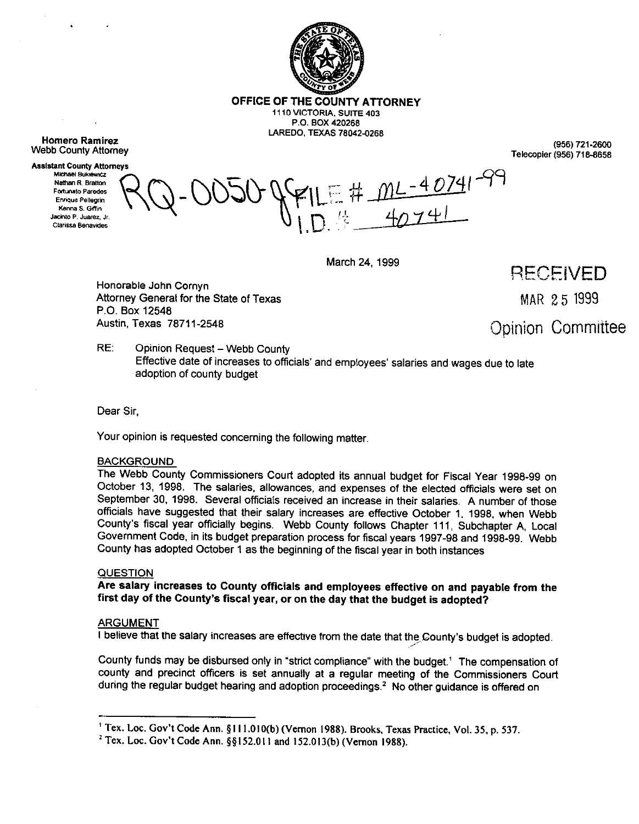

**OFFICE OF THE COUNTY ATTORNEY 1110 VICTORIA, SUITE 403 P.O. BOX 420266** 

**LAREDO, TEXAS 78042-0268** 

**Homero Ramirez Webb County Attorney** 

 $\ddot{\phantom{0}}$ 

**Assistant County Attorneys** Michael Bukiewicz Nathan R. Bratton **Entimato Paredes** Enrique Pellegrin Kenna S. Giffin Jacinto P. Juarez, Jr. Clarissa Benavides

**(956) 721-2600**  Telecopier **(956) 716-6658** 

#  $mc - 40741 - 99$ 

March 24, 1999

RECEIVED

MAR 25 1999

Opinion *Cornmiitee* 

Honorable John Cornyn Attorney General for the State of Texas P.O. Box 12548 Austin, Texas 76711-2548

RE: Opinion Request-Webb County Effective date of increases to officials' and employees' salaries and wages due to late adoption of county budget

Dear Sir,

Your opinion is requested concerning the following matter

## **BACKGROUND**

The Webb County Commissioners Court adopted its annual budget for Fiscal Year 1998-99 on October 13, 1998. The salaries, allowances, and expenses of the elected officials were set on September 30. 1998. Several officials received an increase in their salaries. A number of those officials have suggested that their salary increases are effective October 1, 1998, when Webb County's fiscal year officially begins. Webb County follows Chapter 111, Subchapter A, Local Government Code, in its budget preparation process for fiscal years 1997-98 and 1998-99. Webb County has adopted October 1 as the beginning of the fiscal year in both instances

## QUESTION

## Are **salary increases to County officials and employees effective on and payable from the first day of the County's fiscal year, or on the day that the budget is adopted?**

## ARGUMENT

I believe that the salary increases are effective from the date that the County's budget is adopted.

County funds may be disbursed only in "strict compliance" with the budget.' The compensation of county and precinct officers is set annually at a regular meeting of the Commissioners Court during the regular budget hearing and adoption proceedings.<sup>2</sup> No other guidance is offered on

.A'

<sup>&</sup>lt;sup>1</sup> Tex. Loc. Gov't Code Ann. §111.010(b) (Vernon 1988). Brooks, Texas Practice, Vol. 35, p. 537.

<sup>&</sup>lt;sup>2</sup> Tex. Loc. Gov't Code Ann. §§152.011 and 152.013(b) (Vernon 1988).